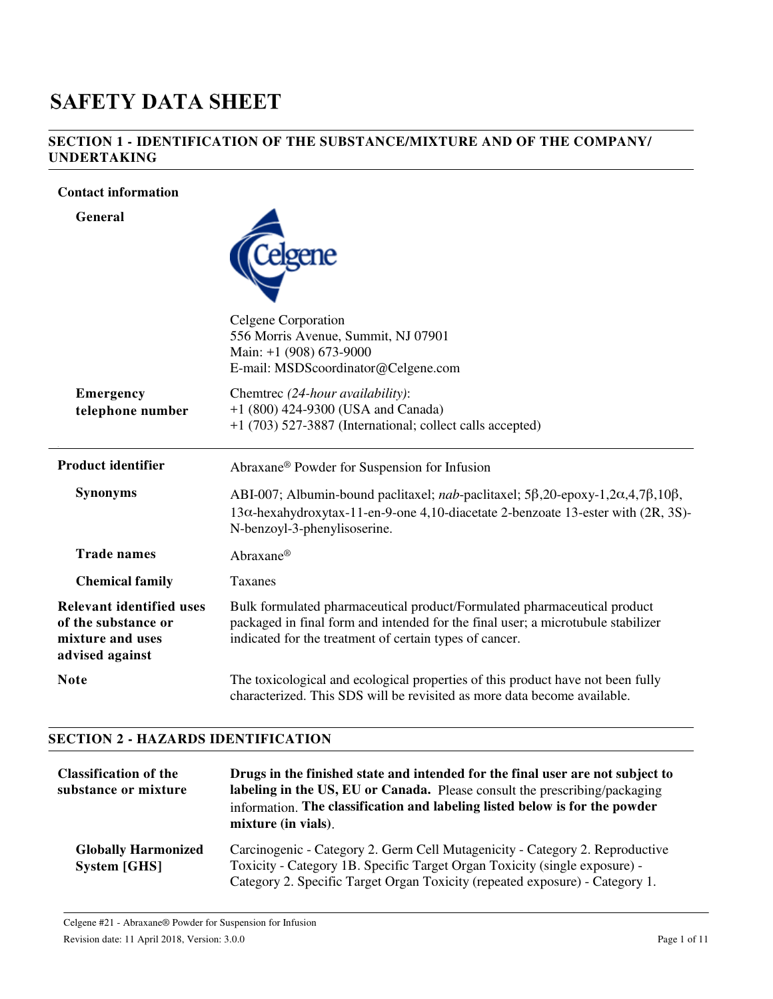# **SAFETY DATA SHEET**

#### **SECTION 1 - IDENTIFICATION OF THE SUBSTANCE/MIXTURE AND OF THE COMPANY/ UNDERTAKING**

#### **Contact information**

**General**



|                                                                                               | Celgene Corporation<br>556 Morris Avenue, Summit, NJ 07901<br>Main: +1 (908) 673-9000<br>E-mail: MSDScoordinator@Celgene.com                                                                                                                               |
|-----------------------------------------------------------------------------------------------|------------------------------------------------------------------------------------------------------------------------------------------------------------------------------------------------------------------------------------------------------------|
| <b>Emergency</b><br>telephone number                                                          | Chemtrec (24-hour availability):<br>+1 (800) 424-9300 (USA and Canada)<br>+1 (703) 527-3887 (International; collect calls accepted)                                                                                                                        |
| <b>Product identifier</b>                                                                     | Abraxane <sup>®</sup> Powder for Suspension for Infusion                                                                                                                                                                                                   |
| <b>Synonyms</b>                                                                               | ABI-007; Albumin-bound paclitaxel; <i>nab</i> -paclitaxel; 5 $\beta$ , 20-epoxy-1, 2 $\alpha$ , 4, 7 $\beta$ , 10 $\beta$ ,<br>$13\alpha$ -hexahydroxytax-11-en-9-one 4,10-diacetate 2-benzoate 13-ester with $(2R, 3S)$ -<br>N-benzoyl-3-phenylisoserine. |
| <b>Trade names</b>                                                                            | Abraxane®                                                                                                                                                                                                                                                  |
| <b>Chemical family</b>                                                                        | Taxanes                                                                                                                                                                                                                                                    |
| <b>Relevant identified uses</b><br>of the substance or<br>mixture and uses<br>advised against | Bulk formulated pharmaceutical product/Formulated pharmaceutical product<br>packaged in final form and intended for the final user; a microtubule stabilizer<br>indicated for the treatment of certain types of cancer.                                    |
| <b>Note</b>                                                                                   | The toxicological and ecological properties of this product have not been fully<br>characterized. This SDS will be revisited as more data become available.                                                                                                |

#### **SECTION 2 - HAZARDS IDENTIFICATION**

| <b>Classification of the</b><br>substance or mixture | Drugs in the finished state and intended for the final user are not subject to<br>labeling in the US, EU or Canada. Please consult the prescribing/packaging<br>information. The classification and labeling listed below is for the powder<br>mixture (in vials). |
|------------------------------------------------------|--------------------------------------------------------------------------------------------------------------------------------------------------------------------------------------------------------------------------------------------------------------------|
| <b>Globally Harmonized</b><br><b>System [GHS]</b>    | Carcinogenic - Category 2. Germ Cell Mutagenicity - Category 2. Reproductive<br>Toxicity - Category 1B. Specific Target Organ Toxicity (single exposure) -<br>Category 2. Specific Target Organ Toxicity (repeated exposure) - Category 1.                         |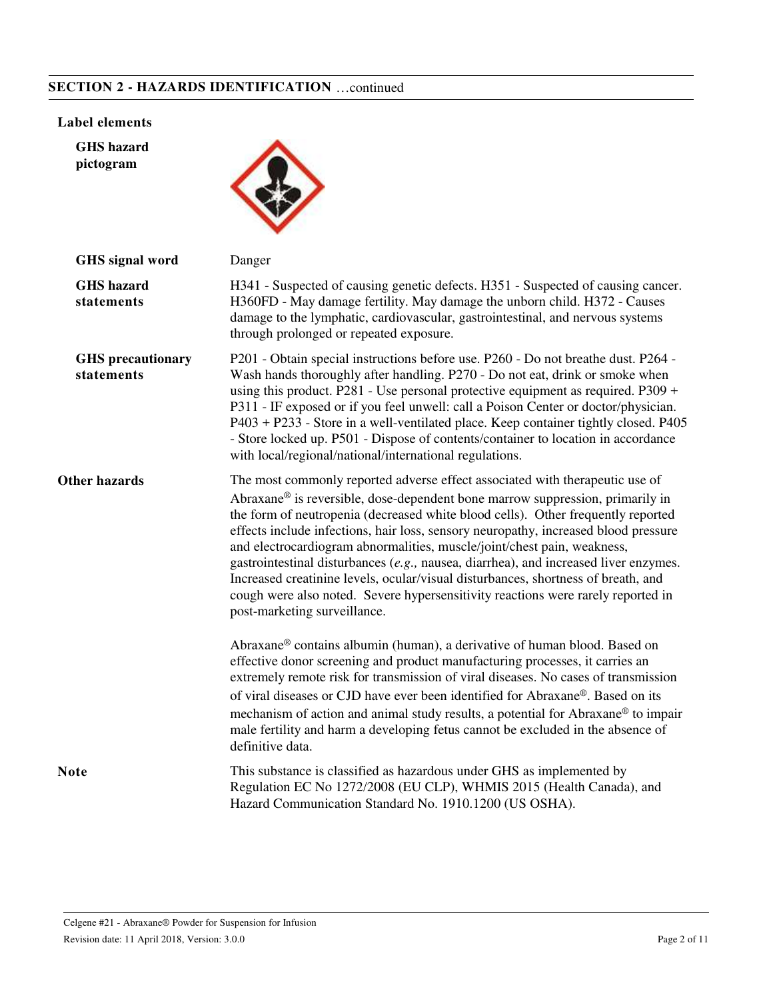## **SECTION 2 - HAZARDS IDENTIFICATION** …continued

#### **Label elements**

**GHS hazard pictogram**



| GHS signal word                        | Danger                                                                                                                                                                                                                                                                                                                                                                                                                                                                                                                                                                                                                                                                                                                           |
|----------------------------------------|----------------------------------------------------------------------------------------------------------------------------------------------------------------------------------------------------------------------------------------------------------------------------------------------------------------------------------------------------------------------------------------------------------------------------------------------------------------------------------------------------------------------------------------------------------------------------------------------------------------------------------------------------------------------------------------------------------------------------------|
| <b>GHS</b> hazard<br>statements        | H341 - Suspected of causing genetic defects. H351 - Suspected of causing cancer.<br>H360FD - May damage fertility. May damage the unborn child. H372 - Causes<br>damage to the lymphatic, cardiovascular, gastrointestinal, and nervous systems<br>through prolonged or repeated exposure.                                                                                                                                                                                                                                                                                                                                                                                                                                       |
| <b>GHS</b> precautionary<br>statements | P201 - Obtain special instructions before use. P260 - Do not breathe dust. P264 -<br>Wash hands thoroughly after handling. P270 - Do not eat, drink or smoke when<br>using this product. P281 - Use personal protective equipment as required. P309 +<br>P311 - IF exposed or if you feel unwell: call a Poison Center or doctor/physician.<br>P403 + P233 - Store in a well-ventilated place. Keep container tightly closed. P405<br>- Store locked up. P501 - Dispose of contents/container to location in accordance<br>with local/regional/national/international regulations.                                                                                                                                               |
| <b>Other hazards</b>                   | The most commonly reported adverse effect associated with therapeutic use of<br>Abraxane <sup>®</sup> is reversible, dose-dependent bone marrow suppression, primarily in<br>the form of neutropenia (decreased white blood cells). Other frequently reported<br>effects include infections, hair loss, sensory neuropathy, increased blood pressure<br>and electrocardiogram abnormalities, muscle/joint/chest pain, weakness,<br>gastrointestinal disturbances (e.g., nausea, diarrhea), and increased liver enzymes.<br>Increased creatinine levels, ocular/visual disturbances, shortness of breath, and<br>cough were also noted. Severe hypersensitivity reactions were rarely reported in<br>post-marketing surveillance. |
|                                        | Abraxane <sup>®</sup> contains albumin (human), a derivative of human blood. Based on<br>effective donor screening and product manufacturing processes, it carries an<br>extremely remote risk for transmission of viral diseases. No cases of transmission<br>of viral diseases or CJD have ever been identified for Abraxane®. Based on its<br>mechanism of action and animal study results, a potential for Abraxane® to impair<br>male fertility and harm a developing fetus cannot be excluded in the absence of<br>definitive data.                                                                                                                                                                                        |
| <b>Note</b>                            | This substance is classified as hazardous under GHS as implemented by<br>Regulation EC No 1272/2008 (EU CLP), WHMIS 2015 (Health Canada), and<br>Hazard Communication Standard No. 1910.1200 (US OSHA).                                                                                                                                                                                                                                                                                                                                                                                                                                                                                                                          |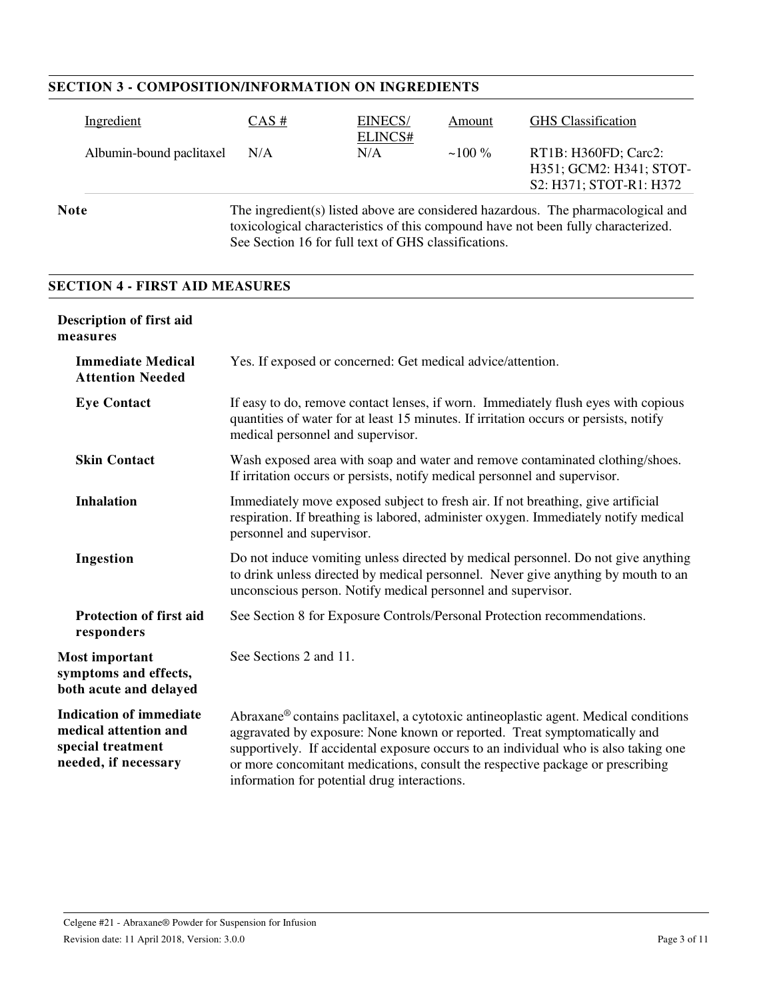| <b>SECTION 3 - COMPOSITION/INFORMATION ON INGREDIENTS</b>                                                                                                                                                                                    |      |                    |          |                                                                            |
|----------------------------------------------------------------------------------------------------------------------------------------------------------------------------------------------------------------------------------------------|------|--------------------|----------|----------------------------------------------------------------------------|
| Ingredient                                                                                                                                                                                                                                   | CAS# | EINECS/<br>ELINCS# | Amount   | <b>GHS</b> Classification                                                  |
| Albumin-bound paclitaxel                                                                                                                                                                                                                     | N/A  | N/A                | $~100\%$ | RT1B: H360FD; Carc2:<br>H351; GCM2: H341; STOT-<br>S2: H371; STOT-R1: H372 |
| The ingredient(s) listed above are considered hazardous. The pharmacological and<br><b>Note</b><br>toxicological characteristics of this compound have not been fully characterized.<br>See Section 16 for full text of GHS classifications. |      |                    |          |                                                                            |

#### **SECTION 4 - FIRST AID MEASURES**

| <b>Description of first aid</b><br>measures                                                          |                                                                                                                                                                                                                                                                                                                                                                                           |
|------------------------------------------------------------------------------------------------------|-------------------------------------------------------------------------------------------------------------------------------------------------------------------------------------------------------------------------------------------------------------------------------------------------------------------------------------------------------------------------------------------|
| <b>Immediate Medical</b><br><b>Attention Needed</b>                                                  | Yes. If exposed or concerned: Get medical advice/attention.                                                                                                                                                                                                                                                                                                                               |
| <b>Eye Contact</b>                                                                                   | If easy to do, remove contact lenses, if worn. Immediately flush eyes with copious<br>quantities of water for at least 15 minutes. If irritation occurs or persists, notify<br>medical personnel and supervisor.                                                                                                                                                                          |
| <b>Skin Contact</b>                                                                                  | Wash exposed area with soap and water and remove contaminated clothing/shoes.<br>If irritation occurs or persists, notify medical personnel and supervisor.                                                                                                                                                                                                                               |
| <b>Inhalation</b>                                                                                    | Immediately move exposed subject to fresh air. If not breathing, give artificial<br>respiration. If breathing is labored, administer oxygen. Immediately notify medical<br>personnel and supervisor.                                                                                                                                                                                      |
| Ingestion                                                                                            | Do not induce vomiting unless directed by medical personnel. Do not give anything<br>to drink unless directed by medical personnel. Never give anything by mouth to an<br>unconscious person. Notify medical personnel and supervisor.                                                                                                                                                    |
| <b>Protection of first aid</b><br>responders                                                         | See Section 8 for Exposure Controls/Personal Protection recommendations.                                                                                                                                                                                                                                                                                                                  |
| <b>Most important</b><br>symptoms and effects,<br>both acute and delayed                             | See Sections 2 and 11.                                                                                                                                                                                                                                                                                                                                                                    |
| <b>Indication of immediate</b><br>medical attention and<br>special treatment<br>needed, if necessary | Abraxane® contains paclitaxel, a cytotoxic antineoplastic agent. Medical conditions<br>aggravated by exposure: None known or reported. Treat symptomatically and<br>supportively. If accidental exposure occurs to an individual who is also taking one<br>or more concomitant medications, consult the respective package or prescribing<br>information for potential drug interactions. |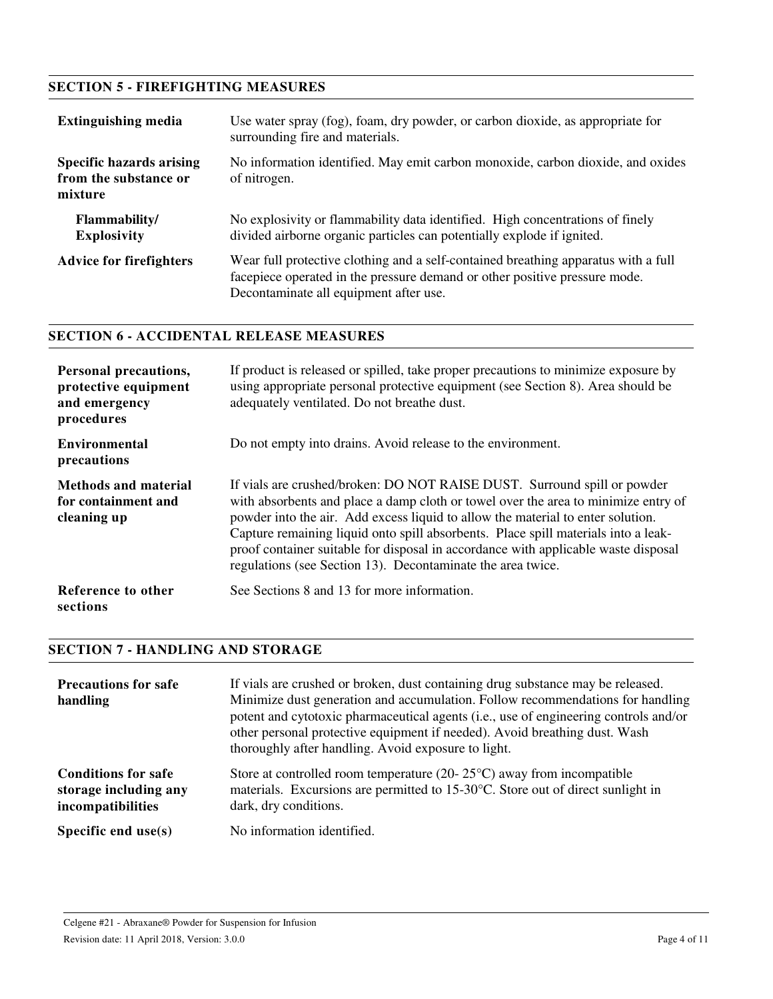## **SECTION 5 - FIREFIGHTING MEASURES**

| <b>Extinguishing media</b>                                          | Use water spray (fog), foam, dry powder, or carbon dioxide, as appropriate for<br>surrounding fire and materials.                                                                                          |
|---------------------------------------------------------------------|------------------------------------------------------------------------------------------------------------------------------------------------------------------------------------------------------------|
| <b>Specific hazards arising</b><br>from the substance or<br>mixture | No information identified. May emit carbon monoxide, carbon dioxide, and oxides<br>of nitrogen.                                                                                                            |
| Flammability/<br><b>Explosivity</b>                                 | No explosivity or flammability data identified. High concentrations of finely<br>divided airborne organic particles can potentially explode if ignited.                                                    |
| <b>Advice for firefighters</b>                                      | Wear full protective clothing and a self-contained breathing apparatus with a full<br>facepiece operated in the pressure demand or other positive pressure mode.<br>Decontaminate all equipment after use. |

### **SECTION 6 - ACCIDENTAL RELEASE MEASURES**

| Personal precautions,<br>protective equipment<br>and emergency<br>procedures | If product is released or spilled, take proper precautions to minimize exposure by<br>using appropriate personal protective equipment (see Section 8). Area should be<br>adequately ventilated. Do not breathe dust.                                                                                                                                                                                                                                                                         |
|------------------------------------------------------------------------------|----------------------------------------------------------------------------------------------------------------------------------------------------------------------------------------------------------------------------------------------------------------------------------------------------------------------------------------------------------------------------------------------------------------------------------------------------------------------------------------------|
| Environmental<br>precautions                                                 | Do not empty into drains. Avoid release to the environment.                                                                                                                                                                                                                                                                                                                                                                                                                                  |
| <b>Methods and material</b><br>for containment and<br>cleaning up            | If vials are crushed/broken: DO NOT RAISE DUST. Surround spill or powder<br>with absorbents and place a damp cloth or towel over the area to minimize entry of<br>powder into the air. Add excess liquid to allow the material to enter solution.<br>Capture remaining liquid onto spill absorbents. Place spill materials into a leak-<br>proof container suitable for disposal in accordance with applicable waste disposal<br>regulations (see Section 13). Decontaminate the area twice. |
| Reference to other<br>sections                                               | See Sections 8 and 13 for more information.                                                                                                                                                                                                                                                                                                                                                                                                                                                  |

## **SECTION 7 - HANDLING AND STORAGE**

| <b>Precautions for safe</b><br>handling                                  | If vials are crushed or broken, dust containing drug substance may be released.<br>Minimize dust generation and accumulation. Follow recommendations for handling<br>potent and cytotoxic pharmaceutical agents (i.e., use of engineering controls and/or<br>other personal protective equipment if needed). Avoid breathing dust. Wash<br>thoroughly after handling. Avoid exposure to light. |
|--------------------------------------------------------------------------|------------------------------------------------------------------------------------------------------------------------------------------------------------------------------------------------------------------------------------------------------------------------------------------------------------------------------------------------------------------------------------------------|
| <b>Conditions for safe</b><br>storage including any<br>incompatibilities | Store at controlled room temperature (20- $25^{\circ}$ C) away from incompatible<br>materials. Excursions are permitted to 15-30°C. Store out of direct sunlight in<br>dark, dry conditions.                                                                                                                                                                                                   |
| Specific end $use(s)$                                                    | No information identified.                                                                                                                                                                                                                                                                                                                                                                     |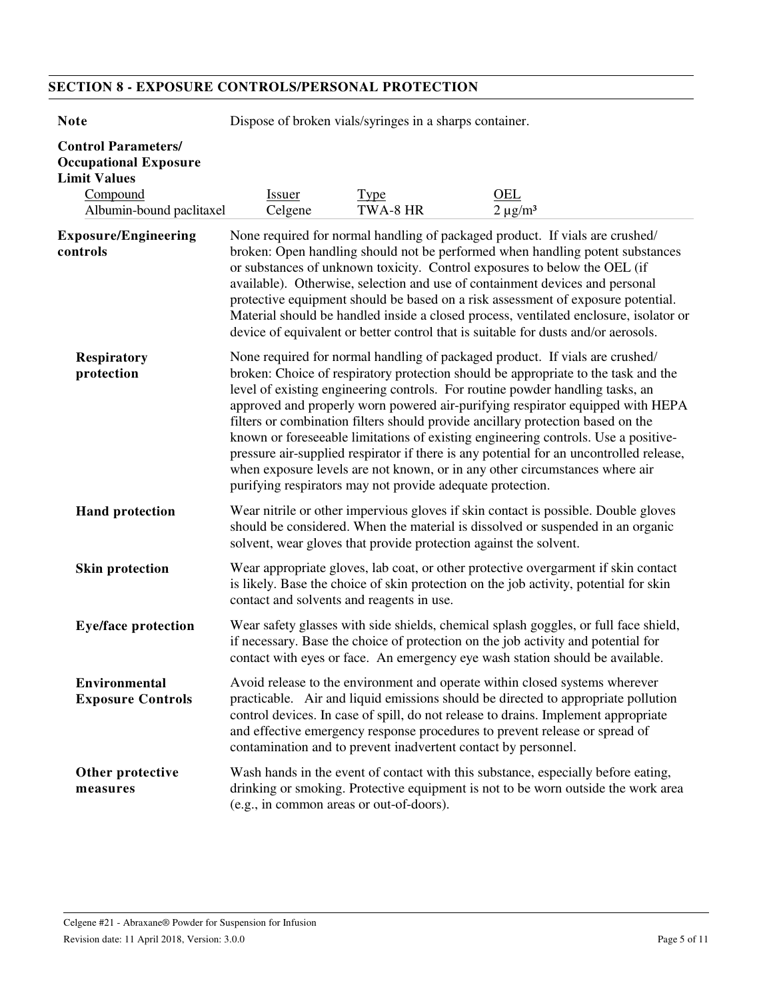## **SECTION 8 - EXPOSURE CONTROLS/PERSONAL PROTECTION**

| <b>Note</b>                                                                                                               | Dispose of broken vials/syringes in a sharps container.                                                                                                                                                                                                                                                                                                                                                                                                                                                                                                                                                                                                                                                                                                |                         |                      |  |
|---------------------------------------------------------------------------------------------------------------------------|--------------------------------------------------------------------------------------------------------------------------------------------------------------------------------------------------------------------------------------------------------------------------------------------------------------------------------------------------------------------------------------------------------------------------------------------------------------------------------------------------------------------------------------------------------------------------------------------------------------------------------------------------------------------------------------------------------------------------------------------------------|-------------------------|----------------------|--|
| <b>Control Parameters/</b><br><b>Occupational Exposure</b><br><b>Limit Values</b><br>Compound<br>Albumin-bound paclitaxel | <b>Issuer</b><br>Celgene                                                                                                                                                                                                                                                                                                                                                                                                                                                                                                                                                                                                                                                                                                                               | <b>Type</b><br>TWA-8 HR | OEL<br>$2 \mu g/m^3$ |  |
| <b>Exposure/Engineering</b><br>controls                                                                                   | None required for normal handling of packaged product. If vials are crushed/<br>broken: Open handling should not be performed when handling potent substances<br>or substances of unknown toxicity. Control exposures to below the OEL (if<br>available). Otherwise, selection and use of containment devices and personal<br>protective equipment should be based on a risk assessment of exposure potential.<br>Material should be handled inside a closed process, ventilated enclosure, isolator or<br>device of equivalent or better control that is suitable for dusts and/or aerosols.                                                                                                                                                          |                         |                      |  |
| <b>Respiratory</b><br>protection                                                                                          | None required for normal handling of packaged product. If vials are crushed/<br>broken: Choice of respiratory protection should be appropriate to the task and the<br>level of existing engineering controls. For routine powder handling tasks, an<br>approved and properly worn powered air-purifying respirator equipped with HEPA<br>filters or combination filters should provide ancillary protection based on the<br>known or foreseeable limitations of existing engineering controls. Use a positive-<br>pressure air-supplied respirator if there is any potential for an uncontrolled release,<br>when exposure levels are not known, or in any other circumstances where air<br>purifying respirators may not provide adequate protection. |                         |                      |  |
| <b>Hand protection</b>                                                                                                    | Wear nitrile or other impervious gloves if skin contact is possible. Double gloves<br>should be considered. When the material is dissolved or suspended in an organic<br>solvent, wear gloves that provide protection against the solvent.                                                                                                                                                                                                                                                                                                                                                                                                                                                                                                             |                         |                      |  |
| <b>Skin protection</b>                                                                                                    | Wear appropriate gloves, lab coat, or other protective overgarment if skin contact<br>is likely. Base the choice of skin protection on the job activity, potential for skin<br>contact and solvents and reagents in use.                                                                                                                                                                                                                                                                                                                                                                                                                                                                                                                               |                         |                      |  |
| <b>Eye/face protection</b>                                                                                                | Wear safety glasses with side shields, chemical splash goggles, or full face shield,<br>if necessary. Base the choice of protection on the job activity and potential for<br>contact with eyes or face. An emergency eye wash station should be available.                                                                                                                                                                                                                                                                                                                                                                                                                                                                                             |                         |                      |  |
| <b>Environmental</b><br><b>Exposure Controls</b>                                                                          | Avoid release to the environment and operate within closed systems wherever<br>practicable. Air and liquid emissions should be directed to appropriate pollution<br>control devices. In case of spill, do not release to drains. Implement appropriate<br>and effective emergency response procedures to prevent release or spread of<br>contamination and to prevent inadvertent contact by personnel.                                                                                                                                                                                                                                                                                                                                                |                         |                      |  |
| Other protective<br>measures                                                                                              | Wash hands in the event of contact with this substance, especially before eating,<br>drinking or smoking. Protective equipment is not to be worn outside the work area<br>(e.g., in common areas or out-of-doors).                                                                                                                                                                                                                                                                                                                                                                                                                                                                                                                                     |                         |                      |  |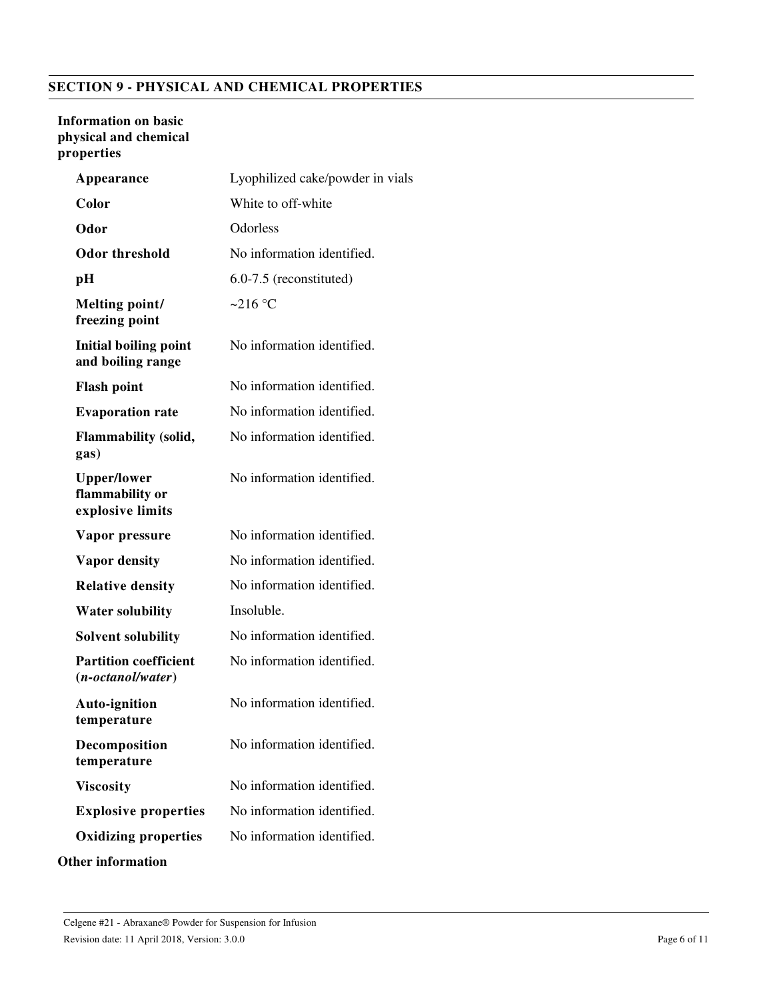## **SECTION 9 - PHYSICAL AND CHEMICAL PROPERTIES**

#### **Information on basic physical and chemical properties**

| Appearance                                                | Lyophilized cake/powder in vials |
|-----------------------------------------------------------|----------------------------------|
| Color                                                     | White to off-white               |
| Odor                                                      | Odorless                         |
| <b>Odor threshold</b>                                     | No information identified.       |
| pН                                                        | 6.0-7.5 (reconstituted)          |
| Melting point/<br>freezing point                          | ~216 $\degree$ C                 |
| <b>Initial boiling point</b><br>and boiling range         | No information identified.       |
| <b>Flash point</b>                                        | No information identified.       |
| <b>Evaporation rate</b>                                   | No information identified.       |
| <b>Flammability (solid,</b><br>gas)                       | No information identified.       |
| <b>Upper/lower</b><br>flammability or<br>explosive limits | No information identified.       |
| Vapor pressure                                            | No information identified.       |
| <b>Vapor density</b>                                      | No information identified.       |
| <b>Relative density</b>                                   | No information identified.       |
| <b>Water solubility</b>                                   | Insoluble.                       |
| <b>Solvent solubility</b>                                 | No information identified.       |
| <b>Partition coefficient</b><br>$(n-octanol/water)$       | No information identified.       |
| <b>Auto-ignition</b><br>temperature                       | No information identified.       |
| Decomposition<br>temperature                              | No information identified.       |
| <b>Viscosity</b>                                          | No information identified.       |
| <b>Explosive properties</b>                               | No information identified.       |
| <b>Oxidizing properties</b>                               | No information identified.       |
| <b>Other information</b>                                  |                                  |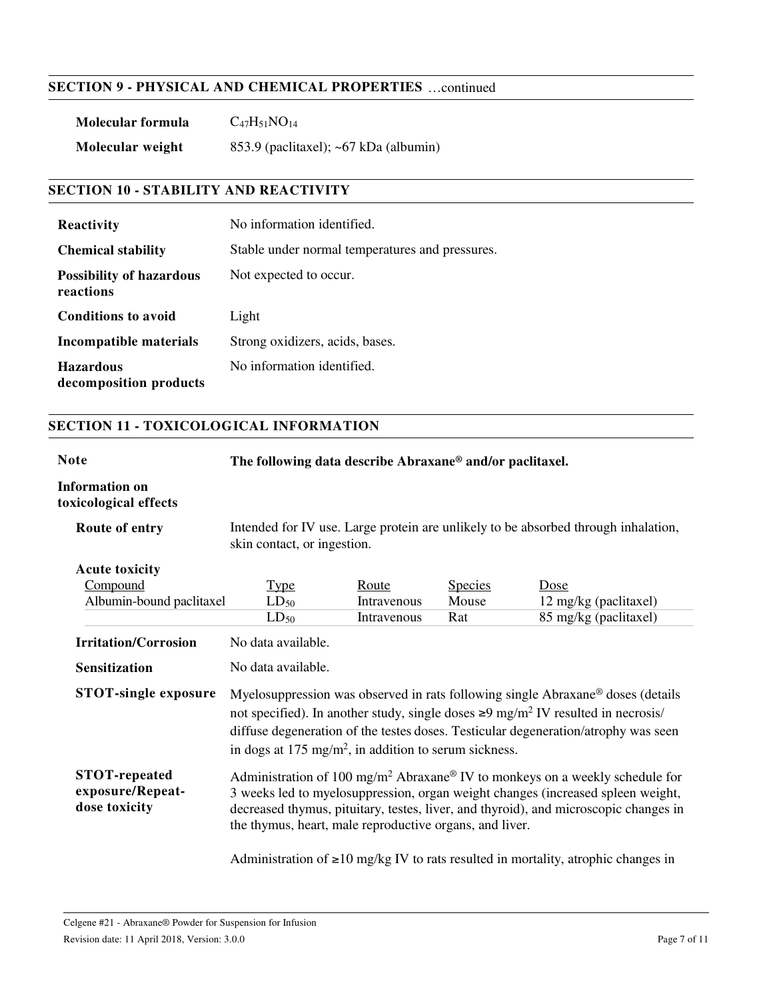#### **SECTION 9 - PHYSICAL AND CHEMICAL PROPERTIES** …continued

| Molecular formula | $C_{47}H_{51}NO_{14}$                       |
|-------------------|---------------------------------------------|
| Molecular weight  | 853.9 (paclitaxel); $\sim 67$ kDa (albumin) |

#### **SECTION 10 - STABILITY AND REACTIVITY**

| <b>Reactivity</b>                            | No information identified.                      |
|----------------------------------------------|-------------------------------------------------|
| <b>Chemical stability</b>                    | Stable under normal temperatures and pressures. |
| <b>Possibility of hazardous</b><br>reactions | Not expected to occur.                          |
| <b>Conditions to avoid</b>                   | Light                                           |
| Incompatible materials                       | Strong oxidizers, acids, bases.                 |
| <b>Hazardous</b><br>decomposition products   | No information identified.                      |

#### **SECTION 11 - TOXICOLOGICAL INFORMATION**

**Note The following data describe Abraxane® and/or paclitaxel.**

#### **Information on toxicological effects**

| Route of entry                                            | Intended for IV use. Large protein are unlikely to be absorbed through inhalation,<br>skin contact, or ingestion.                                                                                                                                                                                                                                           |             |                |                                                                                         |
|-----------------------------------------------------------|-------------------------------------------------------------------------------------------------------------------------------------------------------------------------------------------------------------------------------------------------------------------------------------------------------------------------------------------------------------|-------------|----------------|-----------------------------------------------------------------------------------------|
| <b>Acute toxicity</b><br>Compound                         |                                                                                                                                                                                                                                                                                                                                                             | Route       | <b>Species</b> | Dose                                                                                    |
| Albumin-bound paclitaxel                                  | <u>Type</u><br>$LD_{50}$                                                                                                                                                                                                                                                                                                                                    | Intravenous | Mouse          | 12 mg/kg (paclitaxel)                                                                   |
|                                                           | $LD_{50}$                                                                                                                                                                                                                                                                                                                                                   | Intravenous | Rat            | 85 mg/kg (paclitaxel)                                                                   |
| <b>Irritation/Corrosion</b>                               | No data available.                                                                                                                                                                                                                                                                                                                                          |             |                |                                                                                         |
| <b>Sensitization</b>                                      | No data available.                                                                                                                                                                                                                                                                                                                                          |             |                |                                                                                         |
| <b>STOT-single exposure</b>                               | Myelosuppression was observed in rats following single Abraxane <sup>®</sup> doses (details<br>not specified). In another study, single doses $\geq 9$ mg/m <sup>2</sup> IV resulted in necrosis/<br>diffuse degeneration of the testes doses. Testicular degeneration/atrophy was seen<br>in dogs at $175 \text{ mg/m}^2$ , in addition to serum sickness. |             |                |                                                                                         |
| <b>STOT-repeated</b><br>exposure/Repeat-<br>dose toxicity | Administration of 100 mg/m <sup>2</sup> Abraxane® IV to monkeys on a weekly schedule for<br>3 weeks led to myelosuppression, organ weight changes (increased spleen weight,<br>decreased thymus, pituitary, testes, liver, and thyroid), and microscopic changes in<br>the thymus, heart, male reproductive organs, and liver.                              |             |                |                                                                                         |
|                                                           |                                                                                                                                                                                                                                                                                                                                                             |             |                | Administration of $\geq 10$ mg/kg IV to rats resulted in mortality, atrophic changes in |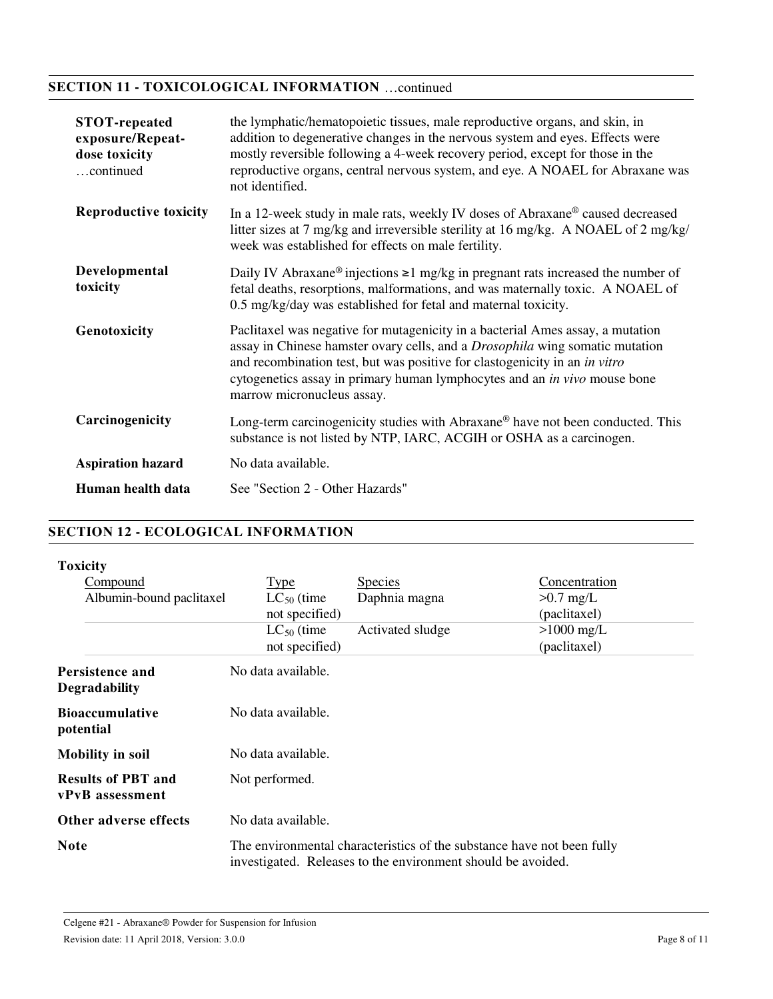## **SECTION 11 - TOXICOLOGICAL INFORMATION** …continued

| <b>STOT-repeated</b><br>exposure/Repeat-<br>dose toxicity<br>continued | the lymphatic/hematopoietic tissues, male reproductive organs, and skin, in<br>addition to degenerative changes in the nervous system and eyes. Effects were<br>mostly reversible following a 4-week recovery period, except for those in the<br>reproductive organs, central nervous system, and eye. A NOAEL for Abraxane was<br>not identified.             |
|------------------------------------------------------------------------|----------------------------------------------------------------------------------------------------------------------------------------------------------------------------------------------------------------------------------------------------------------------------------------------------------------------------------------------------------------|
| <b>Reproductive toxicity</b>                                           | In a 12-week study in male rats, weekly IV doses of Abraxane® caused decreased<br>litter sizes at 7 mg/kg and irreversible sterility at 16 mg/kg. A NOAEL of 2 mg/kg/<br>week was established for effects on male fertility.                                                                                                                                   |
| Developmental<br>toxicity                                              | Daily IV Abraxane <sup>®</sup> injections $\geq 1$ mg/kg in pregnant rats increased the number of<br>fetal deaths, resorptions, malformations, and was maternally toxic. A NOAEL of<br>0.5 mg/kg/day was established for fetal and maternal toxicity.                                                                                                          |
| Genotoxicity                                                           | Paclitaxel was negative for mutagenicity in a bacterial Ames assay, a mutation<br>assay in Chinese hamster ovary cells, and a <i>Drosophila</i> wing somatic mutation<br>and recombination test, but was positive for clastogenicity in an in vitro<br>cytogenetics assay in primary human lymphocytes and an in vivo mouse bone<br>marrow micronucleus assay. |
| Carcinogenicity                                                        | Long-term carcinogenicity studies with Abraxane® have not been conducted. This<br>substance is not listed by NTP, IARC, ACGIH or OSHA as a carcinogen.                                                                                                                                                                                                         |
| <b>Aspiration hazard</b>                                               | No data available.                                                                                                                                                                                                                                                                                                                                             |
| Human health data                                                      | See "Section 2 - Other Hazards"                                                                                                                                                                                                                                                                                                                                |

#### **SECTION 12 - ECOLOGICAL INFORMATION**

|  | <b>oxicity</b> |
|--|----------------|
|--|----------------|

| Compound<br>Albumin-bound paclitaxel         | <b>Type</b><br>$LC_{50}$ (time    | <b>Species</b><br>Daphnia magna                              | Concentration<br>$>0.7$ mg/L                                           |
|----------------------------------------------|-----------------------------------|--------------------------------------------------------------|------------------------------------------------------------------------|
|                                              | not specified)                    |                                                              | (paclitaxel)                                                           |
|                                              | $LC_{50}$ (time<br>not specified) | Activated sludge                                             | $>1000$ mg/L<br>(paclitaxel)                                           |
| Persistence and<br><b>Degradability</b>      | No data available.                |                                                              |                                                                        |
| <b>Bioaccumulative</b><br>potential          | No data available.                |                                                              |                                                                        |
| <b>Mobility in soil</b>                      | No data available.                |                                                              |                                                                        |
| <b>Results of PBT and</b><br>vPvB assessment | Not performed.                    |                                                              |                                                                        |
| Other adverse effects                        | No data available.                |                                                              |                                                                        |
| <b>Note</b>                                  |                                   | investigated. Releases to the environment should be avoided. | The environmental characteristics of the substance have not been fully |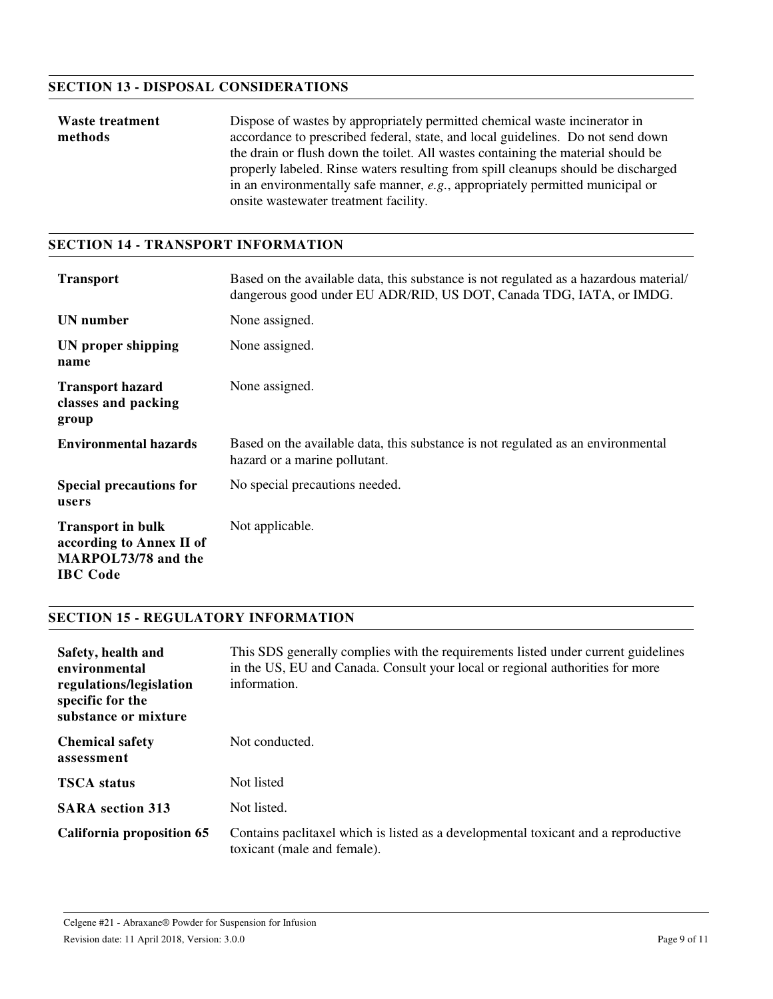#### **SECTION 13 - DISPOSAL CONSIDERATIONS**

| Waste treatment | Dispose of wastes by appropriately permitted chemical waste incinerator in        |  |
|-----------------|-----------------------------------------------------------------------------------|--|
| methods         | accordance to prescribed federal, state, and local guidelines. Do not send down   |  |
|                 | the drain or flush down the toilet. All wastes containing the material should be  |  |
|                 | properly labeled. Rinse waters resulting from spill cleanups should be discharged |  |
|                 | in an environmentally safe manner, e.g., appropriately permitted municipal or     |  |
|                 | onsite was tewater treatment facility.                                            |  |

#### **SECTION 14 - TRANSPORT INFORMATION**

| <b>Transport</b>                                                                               | Based on the available data, this substance is not regulated as a hazardous material/<br>dangerous good under EU ADR/RID, US DOT, Canada TDG, IATA, or IMDG. |
|------------------------------------------------------------------------------------------------|--------------------------------------------------------------------------------------------------------------------------------------------------------------|
| UN number                                                                                      | None assigned.                                                                                                                                               |
| UN proper shipping<br>name                                                                     | None assigned.                                                                                                                                               |
| <b>Transport hazard</b><br>classes and packing<br>group                                        | None assigned.                                                                                                                                               |
| <b>Environmental hazards</b>                                                                   | Based on the available data, this substance is not regulated as an environmental<br>hazard or a marine pollutant.                                            |
| <b>Special precautions for</b><br>users                                                        | No special precautions needed.                                                                                                                               |
| <b>Transport in bulk</b><br>according to Annex II of<br>MARPOL73/78 and the<br><b>IBC</b> Code | Not applicable.                                                                                                                                              |

#### **SECTION 15 - REGULATORY INFORMATION**

| Safety, health and<br>environmental<br>regulations/legislation<br>specific for the<br>substance or mixture | This SDS generally complies with the requirements listed under current guidelines<br>in the US, EU and Canada. Consult your local or regional authorities for more<br>information. |
|------------------------------------------------------------------------------------------------------------|------------------------------------------------------------------------------------------------------------------------------------------------------------------------------------|
| <b>Chemical safety</b><br>assessment                                                                       | Not conducted.                                                                                                                                                                     |
| <b>TSCA</b> status                                                                                         | Not listed                                                                                                                                                                         |
| <b>SARA</b> section 313                                                                                    | Not listed.                                                                                                                                                                        |
| <b>California proposition 65</b>                                                                           | Contains pactitaxel which is listed as a developmental toxicant and a reproductive<br>toxicant (male and female).                                                                  |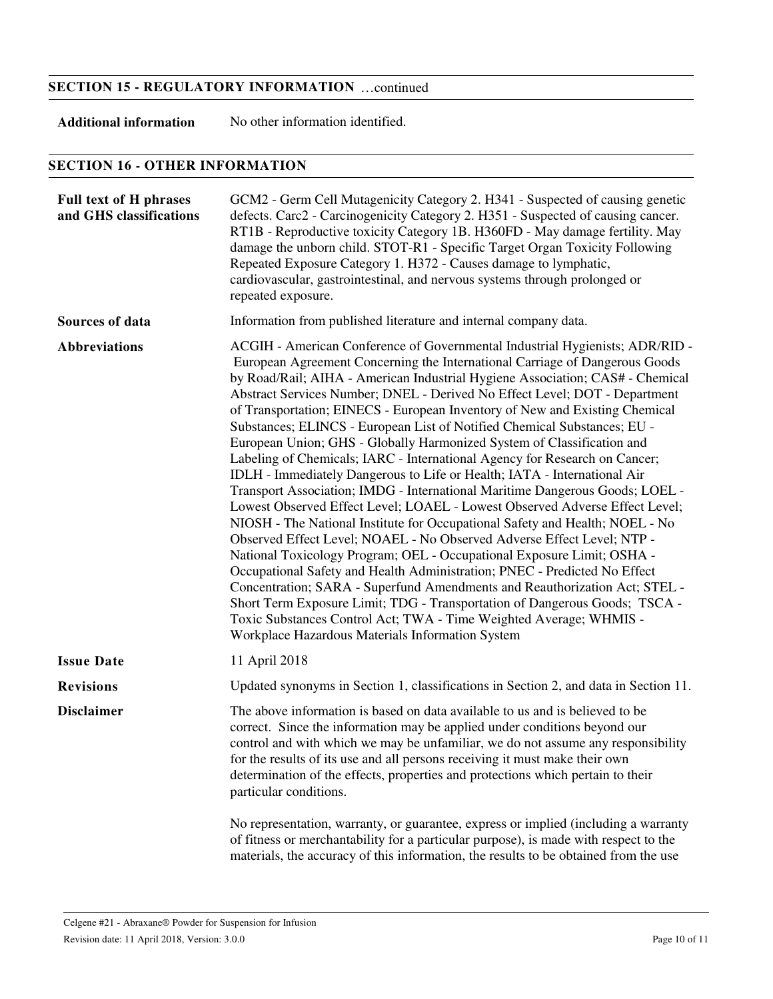#### **SECTION 15 - REGULATORY INFORMATION** …continued

**Additional information** No other information identified.

#### **SECTION 16 - OTHER INFORMATION**

| <b>Full text of H phrases</b><br>and GHS classifications | GCM2 - Germ Cell Mutagenicity Category 2. H341 - Suspected of causing genetic<br>defects. Carc2 - Carcinogenicity Category 2. H351 - Suspected of causing cancer.<br>RT1B - Reproductive toxicity Category 1B. H360FD - May damage fertility. May<br>damage the unborn child. STOT-R1 - Specific Target Organ Toxicity Following<br>Repeated Exposure Category 1. H372 - Causes damage to lymphatic,<br>cardiovascular, gastrointestinal, and nervous systems through prolonged or<br>repeated exposure.                                                                                                                                                                                                                                                                                                                                                                                                                                                                                                                                                                                                                                                                                                                                                                                                                                                                                                                                                                                        |
|----------------------------------------------------------|-------------------------------------------------------------------------------------------------------------------------------------------------------------------------------------------------------------------------------------------------------------------------------------------------------------------------------------------------------------------------------------------------------------------------------------------------------------------------------------------------------------------------------------------------------------------------------------------------------------------------------------------------------------------------------------------------------------------------------------------------------------------------------------------------------------------------------------------------------------------------------------------------------------------------------------------------------------------------------------------------------------------------------------------------------------------------------------------------------------------------------------------------------------------------------------------------------------------------------------------------------------------------------------------------------------------------------------------------------------------------------------------------------------------------------------------------------------------------------------------------|
| Sources of data                                          | Information from published literature and internal company data.                                                                                                                                                                                                                                                                                                                                                                                                                                                                                                                                                                                                                                                                                                                                                                                                                                                                                                                                                                                                                                                                                                                                                                                                                                                                                                                                                                                                                                |
| <b>Abbreviations</b>                                     | ACGIH - American Conference of Governmental Industrial Hygienists; ADR/RID -<br>European Agreement Concerning the International Carriage of Dangerous Goods<br>by Road/Rail; AIHA - American Industrial Hygiene Association; CAS# - Chemical<br>Abstract Services Number; DNEL - Derived No Effect Level; DOT - Department<br>of Transportation; EINECS - European Inventory of New and Existing Chemical<br>Substances; ELINCS - European List of Notified Chemical Substances; EU -<br>European Union; GHS - Globally Harmonized System of Classification and<br>Labeling of Chemicals; IARC - International Agency for Research on Cancer;<br>IDLH - Immediately Dangerous to Life or Health; IATA - International Air<br>Transport Association; IMDG - International Maritime Dangerous Goods; LOEL -<br>Lowest Observed Effect Level; LOAEL - Lowest Observed Adverse Effect Level;<br>NIOSH - The National Institute for Occupational Safety and Health; NOEL - No<br>Observed Effect Level; NOAEL - No Observed Adverse Effect Level; NTP -<br>National Toxicology Program; OEL - Occupational Exposure Limit; OSHA -<br>Occupational Safety and Health Administration; PNEC - Predicted No Effect<br>Concentration; SARA - Superfund Amendments and Reauthorization Act; STEL -<br>Short Term Exposure Limit; TDG - Transportation of Dangerous Goods; TSCA -<br>Toxic Substances Control Act; TWA - Time Weighted Average; WHMIS -<br>Workplace Hazardous Materials Information System |
| <b>Issue Date</b>                                        | 11 April 2018                                                                                                                                                                                                                                                                                                                                                                                                                                                                                                                                                                                                                                                                                                                                                                                                                                                                                                                                                                                                                                                                                                                                                                                                                                                                                                                                                                                                                                                                                   |
| <b>Revisions</b>                                         | Updated synonyms in Section 1, classifications in Section 2, and data in Section 11.                                                                                                                                                                                                                                                                                                                                                                                                                                                                                                                                                                                                                                                                                                                                                                                                                                                                                                                                                                                                                                                                                                                                                                                                                                                                                                                                                                                                            |
| <b>Disclaimer</b>                                        | The above information is based on data available to us and is believed to be<br>correct. Since the information may be applied under conditions beyond our<br>control and with which we may be unfamiliar, we do not assume any responsibility<br>for the results of its use and all persons receiving it must make their own<br>determination of the effects, properties and protections which pertain to their<br>particular conditions.<br>No representation, warranty, or guarantee, express or implied (including a warranty<br>of fitness or merchantability for a particular purpose), is made with respect to the<br>materials, the accuracy of this information, the results to be obtained from the use                                                                                                                                                                                                                                                                                                                                                                                                                                                                                                                                                                                                                                                                                                                                                                                |